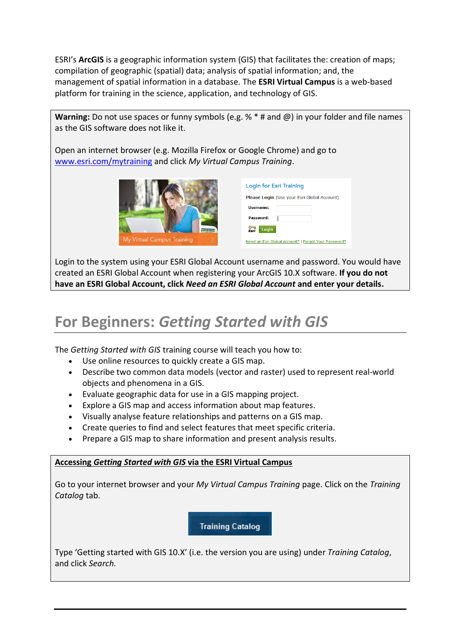ESRI's **ArcGIS** is a [geographic information system](http://en.wikipedia.org/wiki/Geographic_information_system) (GIS) that facilitates the: creation of maps; compilation of geographic (spatial) data; analysis of spatial information; and, the management of spatial information in a database. The **ESRI Virtual Campus** is a web-based platform for training in the science, application, and technology of GIS.

**Warning:** Do not use spaces or funny symbols (e.g. % \* # and @) in your folder and file names as the GIS software does not like it.

Open an internet browser (e.g. Mozilla Firefox or Google Chrome) and go to [www.esri.com/mytraining](http://www.esri.com/mytraining) and click *My Virtual Campus Training*.



| Login for Esri Training                              |  |
|------------------------------------------------------|--|
| <b>Please Login</b> (Use your Esri Global Account)   |  |
| Username:                                            |  |
| <b>Password:</b>                                     |  |
| $\frac{1}{2}$<br>Login                               |  |
| Need an Esri Global Account?   Forgot Your Password? |  |

Login to the system using your ESRI Global Account username and password. You would have created an ESRI Global Account when registering your ArcGIS 10.X software. **If you do not have an ESRI Global Account, click** *Need an ESRI Global Account* **and enter your details.**

## **For Beginners:** *Getting Started with GIS*

The *Getting Started with GIS* training course will teach you how to:

- Use online resources to quickly create a GIS map.
- Describe two common data models (vector and raster) used to represent real-world objects and phenomena in a GIS.
- Evaluate geographic data for use in a GIS mapping project.
- Explore a GIS map and access information about map features.
- Visually analyse feature relationships and patterns on a GIS map.
- Create queries to find and select features that meet specific criteria.
- Prepare a GIS map to share information and present analysis results.

## **Accessing** *Getting Started with GIS* **via the ESRI Virtual Campus**

Go to your internet browser and your *My Virtual Campus Training* page. Click on the *Training Catalog* tab.

**Training Catalog** 

Type 'Getting started with GIS 10.X' (i.e. the version you are using) under *Training Catalog*, and click *Search.*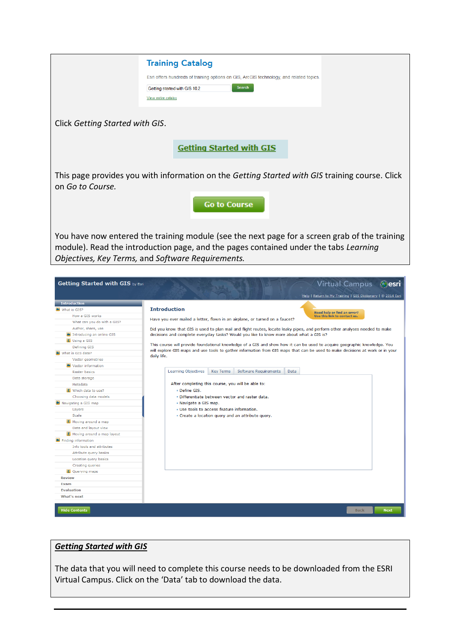|                                                             | <b>Training Catalog</b>                                                                                                       |
|-------------------------------------------------------------|-------------------------------------------------------------------------------------------------------------------------------|
|                                                             |                                                                                                                               |
|                                                             | Esri offers hundreds of training options on GIS, ArcGIS technology, and related topics.                                       |
|                                                             | Search<br>Getting started with GIS 10.2                                                                                       |
|                                                             | View entire catalog                                                                                                           |
|                                                             |                                                                                                                               |
| Click Getting Started with GIS.                             |                                                                                                                               |
|                                                             |                                                                                                                               |
|                                                             | <b>Getting Started with GIS</b>                                                                                               |
|                                                             |                                                                                                                               |
| on Go to Course.                                            | This page provides you with information on the Getting Started with GIS training course. Click                                |
|                                                             | <b>Go to Course</b>                                                                                                           |
|                                                             |                                                                                                                               |
|                                                             |                                                                                                                               |
|                                                             | You have now entered the training module (see the next page for a screen grab of the training                                 |
|                                                             | module). Read the introduction page, and the pages contained under the tabs Learning                                          |
|                                                             |                                                                                                                               |
|                                                             | Objectives, Key Terms, and Software Requirements.                                                                             |
|                                                             |                                                                                                                               |
| Getting Started with GIS by Esri                            | <b>Virtual Campus</b>                                                                                                         |
|                                                             | <b>Contracts</b>                                                                                                              |
|                                                             | Help   Return to My Training   GIS Dictionary   © 2014 Esri                                                                   |
| <b>Introduction</b><br>What is GIS?                         | <b>Introduction</b>                                                                                                           |
| How a GIS works                                             | Need help or find an error?<br>Use this link to contact us.                                                                   |
| What can you do with a GIS?                                 | Have you ever mailed a letter, flown in an airplane, or turned on a faucet?                                                   |
| Author, share, use                                          |                                                                                                                               |
| Introducing an online GIS<br><b>E</b> Using a GIS           | Did you know that GIS is used to plan mail and flight routes, locate leaky pipes, and perform other analyses needed to make   |
|                                                             | decisions and complete everyday tasks? Would you like to know more about what a GIS is?                                       |
|                                                             | This course will provide foundational knowledge of a GIS and show how it can be used to acquire geographic knowledge. You     |
| Defining GIS<br>What is GIS data?                           | will explore GIS maps and use tools to gather information from GIS maps that can be used to make decisions at work or in your |
| Vector geometries                                           | daily life.                                                                                                                   |
| <b>N</b> Vector information                                 |                                                                                                                               |
| Raster basics                                               | <b>Learning Objectives</b><br><b>Key Terms</b><br>Software Requirements<br>Data                                               |
| Data storage                                                |                                                                                                                               |
| Metadata<br>E Which data to use?                            | After completing this course, you will be able to:<br>· Define GIS.                                                           |
| Choosing data models                                        | • Differentiate between vector and raster data.                                                                               |
| Navigating a GIS map                                        | • Navigate a GIS map.                                                                                                         |
| Layers                                                      | . Use tools to access feature information.                                                                                    |
| Scale                                                       | . Create a location query and an attribute query.                                                                             |
| <b>E</b> Moving around a map                                |                                                                                                                               |
| Data and layout view<br><b>E</b> Moving around a map layout |                                                                                                                               |
| Finding information                                         |                                                                                                                               |
| Info tools and attributes                                   |                                                                                                                               |
| Attribute query basics                                      |                                                                                                                               |
| Location query basics                                       |                                                                                                                               |
| Creating queries                                            |                                                                                                                               |
| <b>E</b> Querying maps<br><b>Review</b>                     |                                                                                                                               |
| Exam                                                        |                                                                                                                               |
| <b>Evaluation</b>                                           |                                                                                                                               |
| What's next                                                 |                                                                                                                               |

## *Getting Started with GIS*

The data that you will need to complete this course needs to be downloaded from the ESRI Virtual Campus. Click on the 'Data' tab to download the data.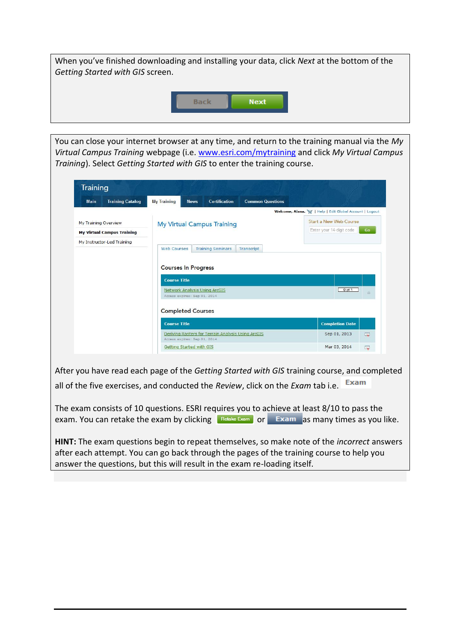

You can close your internet browser at any time, and return to the training manual via the *My Virtual Campus Training* webpage (i.e. [www.esri.com/mytraining](http://www.esri.com/mytraining) and click *My Virtual Campus Training*). Select *Getting Started with GIS* to enter the training course.

| <b>Training Catalog</b><br><b>Main</b> | <b>My Training</b><br><b>Certification</b><br><b>Common Questions</b><br><b>News</b>                                                                                               | Welcome, Alana. V   Help   Edit Global Account   Logout |
|----------------------------------------|------------------------------------------------------------------------------------------------------------------------------------------------------------------------------------|---------------------------------------------------------|
| My Training Overview                   | <b>My Virtual Campus Training</b>                                                                                                                                                  | <b>Start a New Web Course</b>                           |
| <b>My Virtual Campus Training</b>      |                                                                                                                                                                                    | Enter your 14-digit code<br>Go                          |
| My Instructor-Led Training             | <b>Web Courses</b><br><b>Training Seminars</b><br>Transcript<br><b>Courses In Progress</b><br><b>Course Title</b><br>Network Analysis Using ArcGIS<br>Access expires: Sep 01, 2014 | $0$ of $1$<br>$\mathbf{a}$                              |
|                                        | <b>Completed Courses</b><br><b>Course Title</b>                                                                                                                                    | <b>Completion Date</b>                                  |
|                                        |                                                                                                                                                                                    |                                                         |

After you have read each page of the *Getting Started with GIS* training course, and completed all of the five exercises, and conducted the *Review*, click on the *Exam* tab i.e.

The exam consists of 10 questions. ESRI requires you to achieve at least 8/10 to pass the exam. You can retake the exam by clicking  $\sqrt{\frac{R_{\text{etake Eram}}}{r}}$  or  $\sqrt{\frac{K_{\text{c}}}{r}}$  as many times as you like.

**HINT:** The exam questions begin to repeat themselves, so make note of the *incorrect* answers after each attempt. You can go back through the pages of the training course to help you answer the questions, but this will result in the exam re-loading itself.